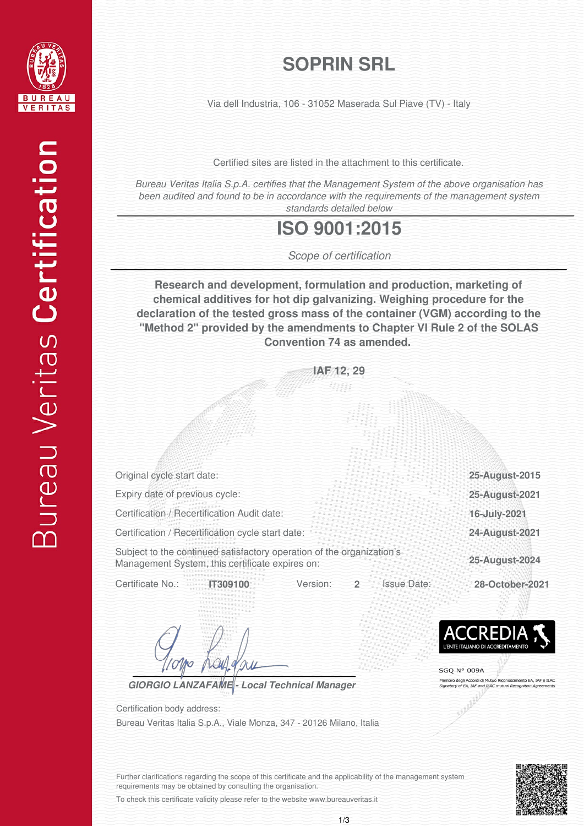

## **SOPRIN SRL**

Via dell Industria, 106 - 31052 Maserada Sul Piave (TV) - Italy

Certified sites are listed in the attachment to this certificate.

*Bureau Veritas Italia S.p.A. certifies that the Management System of the above organisation has been audited and found to be in accordance with the requirements of the management system standards detailed below*

#### **ISO 9001:2015**

*Scope of certification*

**Research and development, formulation and production, marketing of chemical additives for hot dip galvanizing. Weighing procedure for the declaration of the tested gross mass of the container (VGM) according to the "Method 2" provided by the amendments to Chapter VI Rule 2 of the SOLAS Convention 74 as amended.**

> **IAF 12, 29** 热阻

Original cycle start date:

Expiry date of previous cycle:

Certification / Recertification Audit date:

Certification / Recertification cycle start date:

Subject to the continued satisfactory operation of the organization's Management System, this certificate expires on:

Certificate No.: **IT309100** Version: **2** Issue Date: **28-October-2021**

*GIORGIO LANZAFAME - Local Technical Manager*

Bureau Veritas Italia S.p.A., Viale Monza, 347 - 20126 Milano, Italia Certification body address:



**16-July-2021**

**25-August-2021 25-August-2015**

**25-August-2024**

**24-August-2021**

SGO N° 009A mbro degli Accordi di Mutuo Riconoscimento EA, IAF<br>natory of EA, IAF and ILAC mutual Recognition Agree ento EA, IAF e ILAC



Further clarifications regarding the scope of this certificate and the applicability of the management system requirements may be obtained by consulting the organisation.

To check this certificate validity please refer to the website www.bureauveritas.it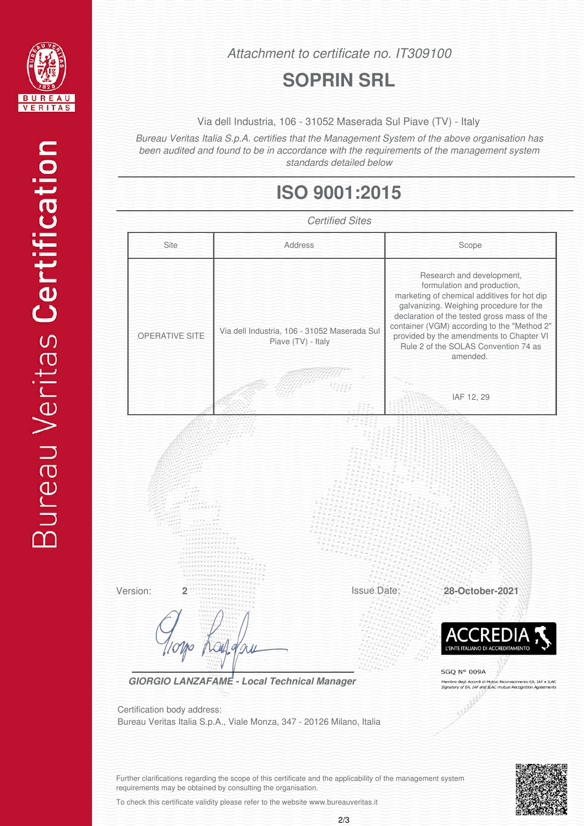

*Attachment to certificate no. IT309100*

### **SOPRIN SRL**

Via dell Industria, 106 - 31052 Maserada Sul Piave (TV) - Italy

*Bureau Veritas Italia S.p.A. certifies that the Management System of the above organisation has been audited and found to be in accordance with the requirements of the management system standards detailed below*

# **ISO 9001:2015**



To check this certificate validity please refer to the website www.bureauveritas.it